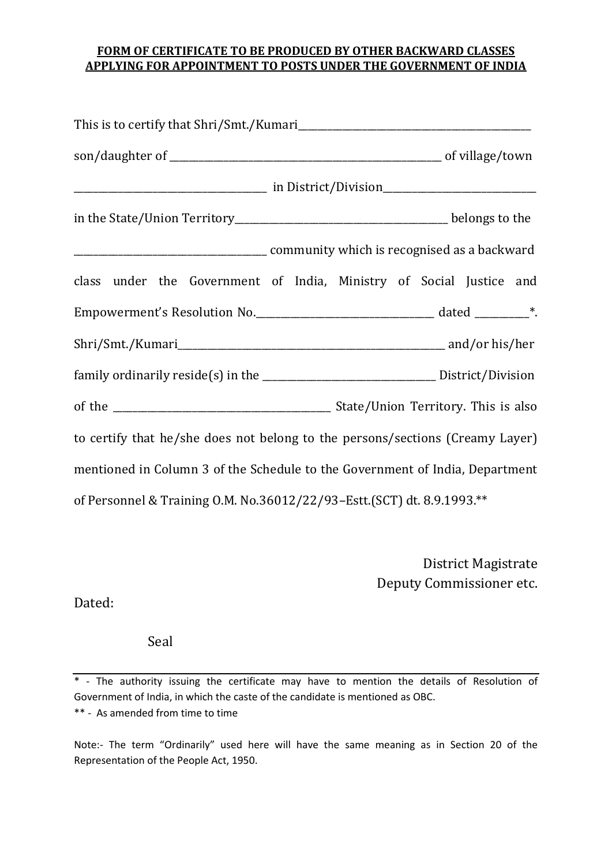## **FORM OF CERTIFICATE TO BE PRODUCED BY OTHER BACKWARD CLASSES APPLYING FOR APPOINTMENT TO POSTS UNDER THE GOVERNMENT OF INDIA**

| class under the Government of India, Ministry of Social Justice and               |  |
|-----------------------------------------------------------------------------------|--|
| Empowerment's Resolution No. __________________________________ dated _________*. |  |
|                                                                                   |  |
|                                                                                   |  |
|                                                                                   |  |
| to certify that he/she does not belong to the persons/sections (Creamy Layer)     |  |
| mentioned in Column 3 of the Schedule to the Government of India, Department      |  |
| of Personnel & Training O.M. No.36012/22/93-Estt.(SCT) dt. 8.9.1993.**            |  |

District Magistrate Deputy Commissioner etc.

Dated:

Seal

Note:- The term "Ordinarily" used here will have the same meaning as in Section 20 of the Representation of the People Act, 1950.

<sup>\*</sup> - The authority issuing the certificate may have to mention the details of Resolution of Government of India, in which the caste of the candidate is mentioned as OBC. \*\* - As amended from time to time